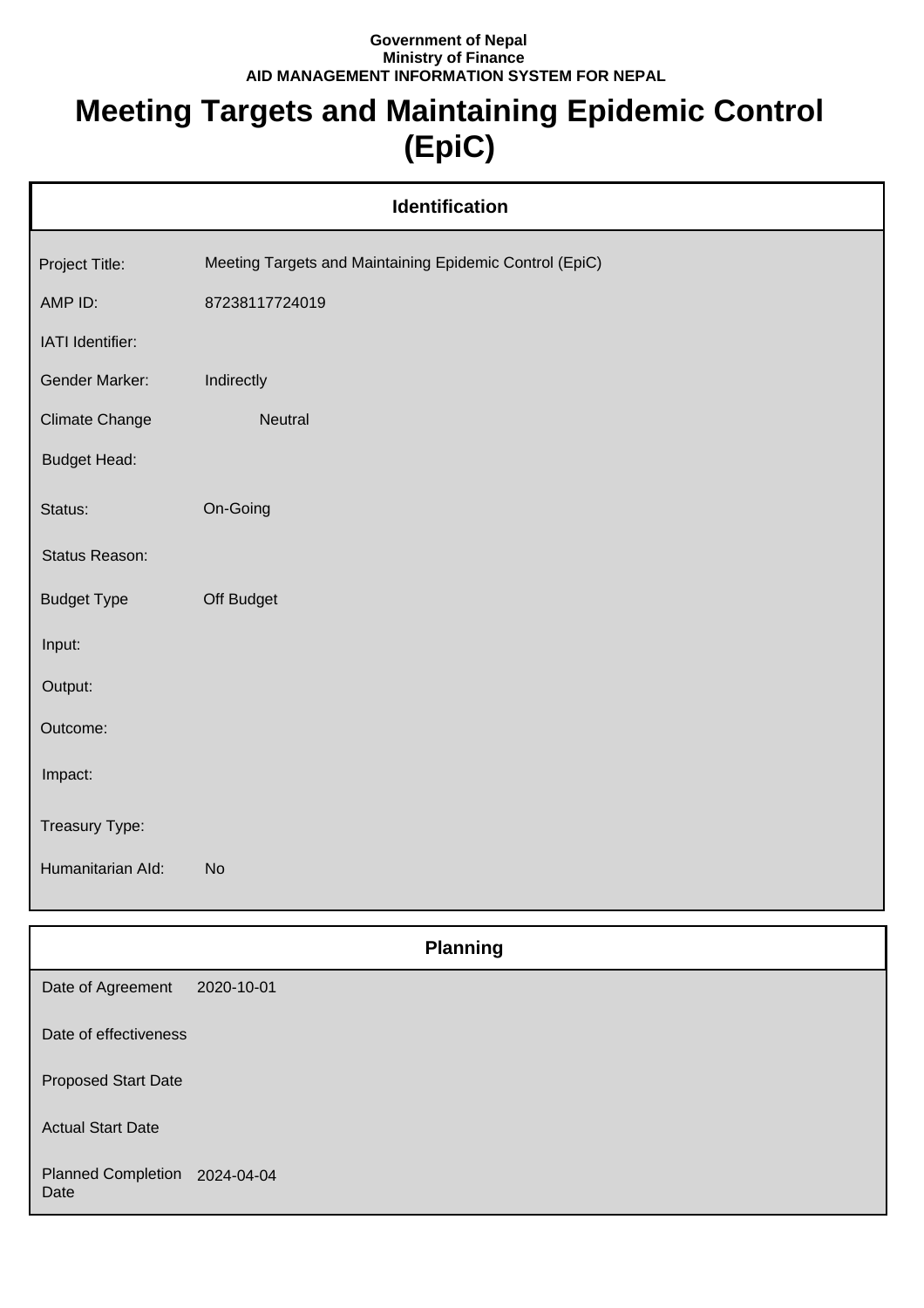## **Government of Nepal Ministry of Finance AID MANAGEMENT INFORMATION SYSTEM FOR NEPAL**

## **Meeting Targets and Maintaining Epidemic Control (EpiC)**

| <b>Identification</b> |                                                         |  |
|-----------------------|---------------------------------------------------------|--|
| Project Title:        | Meeting Targets and Maintaining Epidemic Control (EpiC) |  |
| AMP ID:               | 87238117724019                                          |  |
| IATI Identifier:      |                                                         |  |
| Gender Marker:        | Indirectly                                              |  |
| <b>Climate Change</b> | Neutral                                                 |  |
| <b>Budget Head:</b>   |                                                         |  |
| Status:               | On-Going                                                |  |
| Status Reason:        |                                                         |  |
| <b>Budget Type</b>    | Off Budget                                              |  |
| Input:                |                                                         |  |
| Output:               |                                                         |  |
| Outcome:              |                                                         |  |
| Impact:               |                                                         |  |
| Treasury Type:        |                                                         |  |
| Humanitarian Ald:     | <b>No</b>                                               |  |
|                       | <b>Planning</b>                                         |  |

|                                       | r ianning  |
|---------------------------------------|------------|
| Date of Agreement                     | 2020-10-01 |
| Date of effectiveness                 |            |
| <b>Proposed Start Date</b>            |            |
| <b>Actual Start Date</b>              |            |
| Planned Completion 2024-04-04<br>Date |            |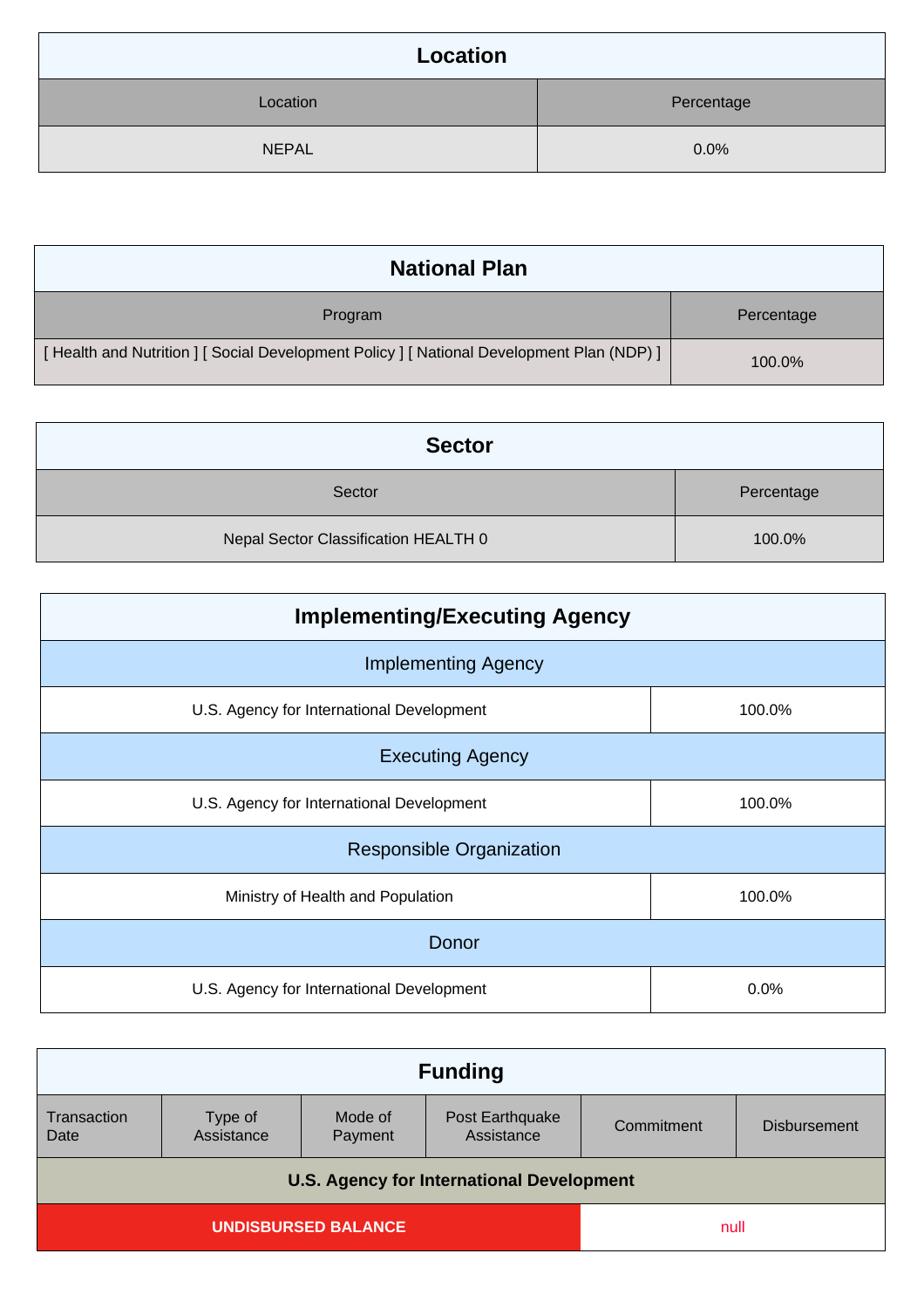| Location     |            |
|--------------|------------|
| Location     | Percentage |
| <b>NEPAL</b> | 0.0%       |

| <b>National Plan</b>                                                                    |            |
|-----------------------------------------------------------------------------------------|------------|
| Program                                                                                 | Percentage |
| [Health and Nutrition ] [Social Development Policy ] [National Development Plan (NDP) ] | 100.0%     |

| <b>Sector</b>                        |            |
|--------------------------------------|------------|
| Sector                               | Percentage |
| Nepal Sector Classification HEALTH 0 | 100.0%     |

| <b>Implementing/Executing Agency</b>      |        |  |
|-------------------------------------------|--------|--|
| <b>Implementing Agency</b>                |        |  |
| U.S. Agency for International Development | 100.0% |  |
| <b>Executing Agency</b>                   |        |  |
| U.S. Agency for International Development | 100.0% |  |
| <b>Responsible Organization</b>           |        |  |
| Ministry of Health and Population         | 100.0% |  |
| Donor                                     |        |  |
| U.S. Agency for International Development | 0.0%   |  |

| <b>Funding</b>                                   |                       |                    |                               |            |                     |
|--------------------------------------------------|-----------------------|--------------------|-------------------------------|------------|---------------------|
| Transaction<br>Date                              | Type of<br>Assistance | Mode of<br>Payment | Post Earthquake<br>Assistance | Commitment | <b>Disbursement</b> |
| <b>U.S. Agency for International Development</b> |                       |                    |                               |            |                     |
| <b>UNDISBURSED BALANCE</b>                       |                       |                    | null                          |            |                     |
|                                                  |                       |                    |                               |            |                     |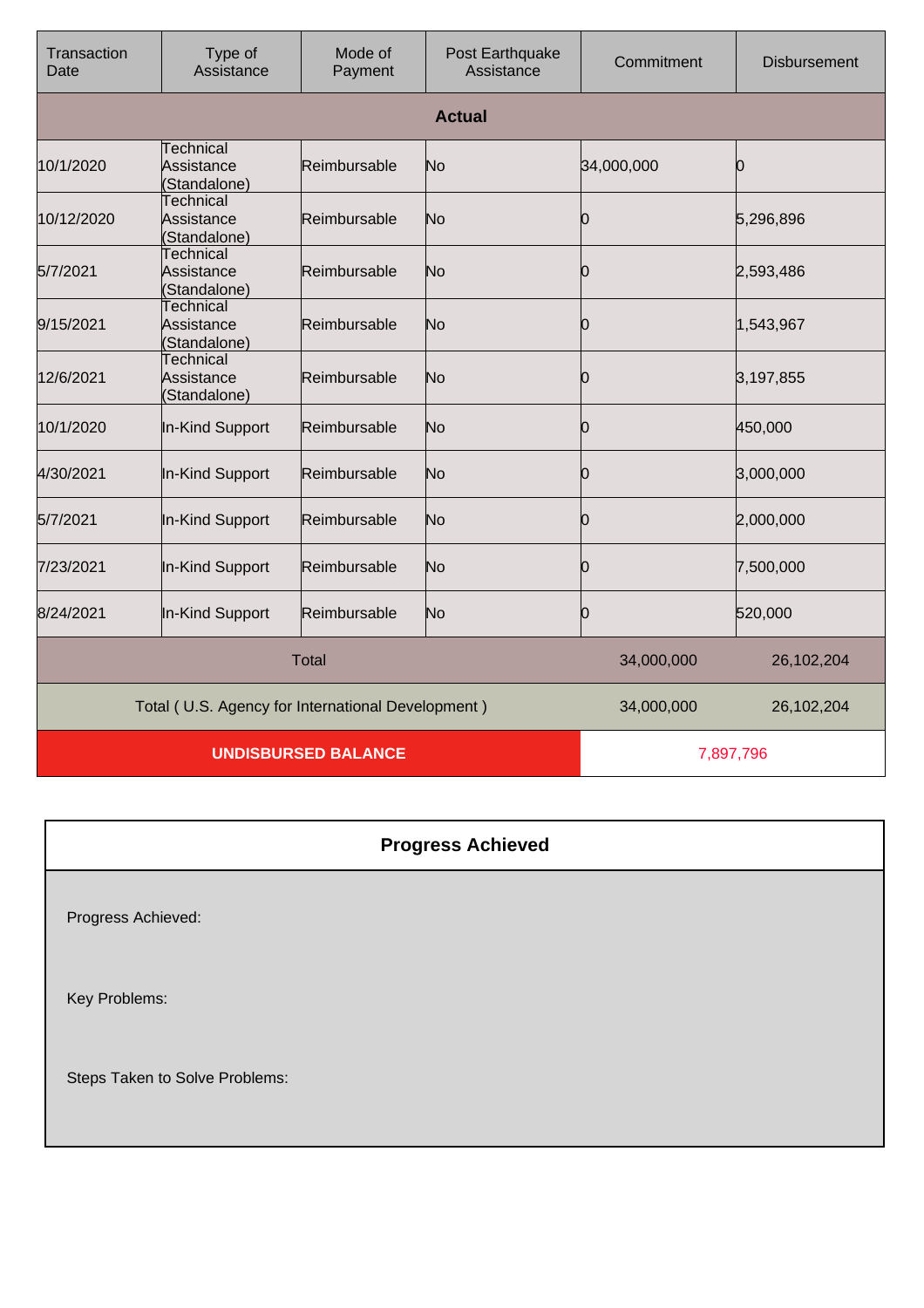| Transaction<br>Date | Type of<br>Assistance                             | Mode of<br>Payment | Post Earthquake<br>Assistance | Commitment | <b>Disbursement</b> |
|---------------------|---------------------------------------------------|--------------------|-------------------------------|------------|---------------------|
|                     |                                                   |                    | <b>Actual</b>                 |            |                     |
| 10/1/2020           | <b>Technical</b><br>Assistance<br>Standalone)     | Reimbursable       | No                            | 34,000,000 | 0                   |
| 10/12/2020          | Technical<br>Assistance<br>Standalone)            | Reimbursable       | No                            | Ю          | 5,296,896           |
| 5/7/2021            | <b>Technical</b><br>Assistance<br>(Standalone)    | Reimbursable       | No                            | n          | 2,593,486           |
| 9/15/2021           | Technical<br>Assistance<br>(Standalone)           | Reimbursable       | No                            | Ю          | 1,543,967           |
| 12/6/2021           | <b>Technical</b><br>Assistance<br>(Standalone)    | Reimbursable       | No                            | 0          | 3,197,855           |
| 10/1/2020           | In-Kind Support                                   | Reimbursable       | No                            | Ŋ          | 450,000             |
| 4/30/2021           | In-Kind Support                                   | Reimbursable       | No                            | 0          | 3,000,000           |
| 5/7/2021            | In-Kind Support                                   | Reimbursable       | No                            | Ю          | 2,000,000           |
| 7/23/2021           | In-Kind Support                                   | Reimbursable       | No                            | 0          | 7,500,000           |
| 8/24/2021           | In-Kind Support                                   | Reimbursable       | No                            | 0          | 520,000             |
|                     |                                                   | <b>Total</b>       |                               | 34,000,000 | 26,102,204          |
|                     | Total (U.S. Agency for International Development) |                    |                               | 34,000,000 | 26,102,204          |
|                     | <b>UNDISBURSED BALANCE</b>                        |                    |                               |            | 7,897,796           |

| <b>Progress Achieved</b>       |
|--------------------------------|
| Progress Achieved:             |
| Key Problems:                  |
| Steps Taken to Solve Problems: |